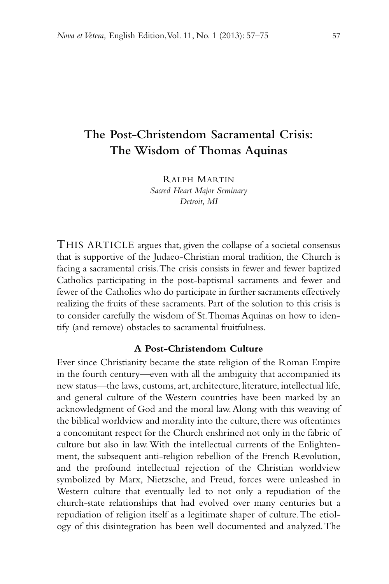# **The Post-Christendom Sacramental Crisis: The Wisdom of Thomas Aquinas**

RALPH MARTIN *Sacred Heart Major Seminary Detroit, MI*

THIS ARTICLE argues that, given the collapse of a societal consensus that is supportive of the Judaeo-Christian moral tradition, the Church is facing a sacramental crisis. The crisis consists in fewer and fewer baptized Catholics participating in the post-baptismal sacraments and fewer and fewer of the Catholics who do participate in further sacraments effectively realizing the fruits of these sacraments. Part of the solution to this crisis is to consider carefully the wisdom of St. Thomas Aquinas on how to identify (and remove) obstacles to sacramental fruitfulness.

### **A Post-Christendom Culture**

Ever since Christianity became the state religion of the Roman Empire in the fourth century—even with all the ambiguity that accompanied its new status—the laws, customs, art, architecture, literature, intellectual life, and general culture of the Western countries have been marked by an acknowledgment of God and the moral law. Along with this weaving of the biblical worldview and morality into the culture, there was oftentimes a concomitant respect for the Church enshrined not only in the fabric of culture but also in law. With the intellectual currents of the Enlightenment, the subsequent anti-religion rebellion of the French Revolution, and the profound intellectual rejection of the Christian worldview symbolized by Marx, Nietzsche, and Freud, forces were unleashed in Western culture that eventually led to not only a repudiation of the church-state relationships that had evolved over many centuries but a repudiation of religion itself as a legitimate shaper of culture. The etiology of this disintegration has been well documented and analyzed. The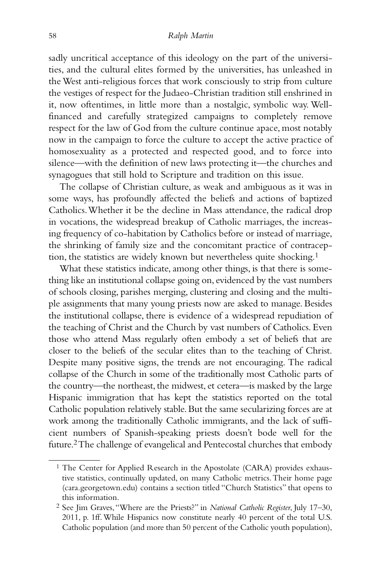sadly uncritical acceptance of this ideology on the part of the universities, and the cultural elites formed by the universities, has unleashed in the West anti-religious forces that work consciously to strip from culture the vestiges of respect for the Judaeo-Christian tradition still enshrined in it, now oftentimes, in little more than a nostalgic, symbolic way. Wellfinanced and carefully strategized campaigns to completely remove respect for the law of God from the culture continue apace, most notably now in the campaign to force the culture to accept the active practice of homosexuality as a protected and respected good, and to force into silence—with the definition of new laws protecting it—the churches and synagogues that still hold to Scripture and tradition on this issue.

The collapse of Christian culture, as weak and ambiguous as it was in some ways, has profoundly affected the beliefs and actions of baptized Catholics. Whether it be the decline in Mass attendance, the radical drop in vocations, the widespread breakup of Catholic marriages, the increasing frequency of co-habitation by Catholics before or instead of marriage, the shrinking of family size and the concomitant practice of contraception, the statistics are widely known but nevertheless quite shocking.1

What these statistics indicate, among other things, is that there is something like an institutional collapse going on, evidenced by the vast numbers of schools closing, parishes merging, clustering and closing and the multiple assignments that many young priests now are asked to manage. Besides the institutional collapse, there is evidence of a widespread repudiation of the teaching of Christ and the Church by vast numbers of Catholics. Even those who attend Mass regularly often embody a set of beliefs that are closer to the beliefs of the secular elites than to the teaching of Christ. Despite many positive signs, the trends are not encouraging. The radical collapse of the Church in some of the traditionally most Catholic parts of the country—the northeast, the midwest, et cetera—is masked by the large Hispanic immigration that has kept the statistics reported on the total Catholic population relatively stable. But the same secularizing forces are at work among the traditionally Catholic immigrants, and the lack of sufficient numbers of Spanish-speaking priests doesn't bode well for the future.2The challenge of evangelical and Pentecostal churches that embody

<sup>&</sup>lt;sup>1</sup> The Center for Applied Research in the Apostolate (CARA) provides exhaustive statistics, continually updated, on many Catholic metrics. Their home page (cara.georgetown.edu) contains a section titled "Church Statistics" that opens to this information.

<sup>2</sup> See Jim Graves, "Where are the Priests?" in *National Catholic Register*, July 17–30, 2011, p. 1ff. While Hispanics now constitute nearly 40 percent of the total U.S. Catholic population (and more than 50 percent of the Catholic youth population),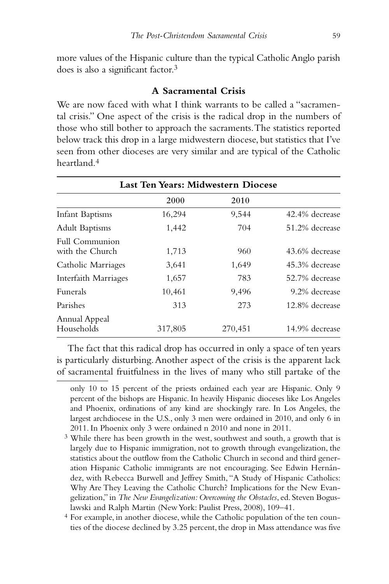more values of the Hispanic culture than the typical Catholic Anglo parish does is also a significant factor.3

# **A Sacramental Crisis**

We are now faced with what I think warrants to be called a "sacramental crisis." One aspect of the crisis is the radical drop in the numbers of those who still bother to approach the sacraments. The statistics reported below track this drop in a large midwestern diocese, but statistics that I've seen from other dioceses are very similar and are typical of the Catholic heartland.4

| Last Ten Years: Midwestern Diocese |         |         |                |
|------------------------------------|---------|---------|----------------|
|                                    | 2000    | 2010    |                |
| Infant Baptisms                    | 16,294  | 9,544   | 42.4% decrease |
| <b>Adult Baptisms</b>              | 1,442   | 704     | 51.2% decrease |
| Full Communion<br>with the Church  | 1,713   | 960     | 43.6% decrease |
| Catholic Marriages                 | 3,641   | 1,649   | 45.3% decrease |
| Interfaith Marriages               | 1,657   | 783     | 52.7% decrease |
| <b>Funerals</b>                    | 10,461  | 9,496   | 9.2% decrease  |
| Parishes                           | 313     | 273     | 12.8% decrease |
| Annual Appeal<br>Households        | 317,805 | 270,451 | 14.9% decrease |

The fact that this radical drop has occurred in only a space of ten years is particularly disturbing. Another aspect of the crisis is the apparent lack of sacramental fruitfulness in the lives of many who still partake of the

only 10 to 15 percent of the priests ordained each year are Hispanic. Only 9 percent of the bishops are Hispanic. In heavily Hispanic dioceses like Los Angeles and Phoenix, ordinations of any kind are shockingly rare. In Los Angeles, the largest archdiocese in the U.S., only 3 men were ordained in 2010, and only 6 in 2011. In Phoenix only 3 were ordained n 2010 and none in 2011.

<sup>&</sup>lt;sup>3</sup> While there has been growth in the west, southwest and south, a growth that is largely due to Hispanic immigration, not to growth through evangelization, the statistics about the outflow from the Catholic Church in second and third generation Hispanic Catholic immigrants are not encouraging. See Edwin Hernández, with Rebecca Burwell and Jeffrey Smith, "A Study of Hispanic Catholics: Why Are They Leaving the Catholic Church? Implications for the New Evangelization," in *The New Evangelization: Overcoming the Obstacles*, ed. Steven Boguslawski and Ralph Martin (New York: Paulist Press, 2008), 109–41.

<sup>4</sup> For example, in another diocese, while the Catholic population of the ten counties of the diocese declined by 3.25 percent, the drop in Mass attendance was five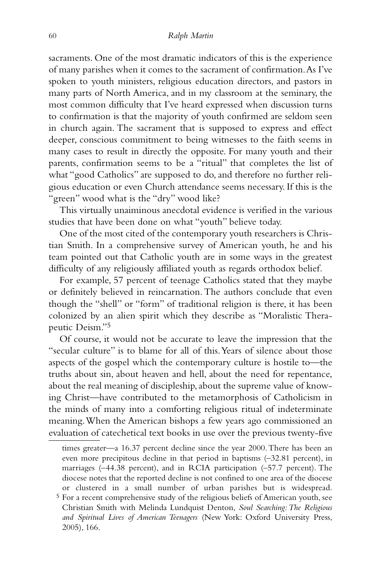sacraments. One of the most dramatic indicators of this is the experience of many parishes when it comes to the sacrament of confirmation. As I've spoken to youth ministers, religious education directors, and pastors in many parts of North America, and in my classroom at the seminary, the most common difficulty that I've heard expressed when discussion turns to confirmation is that the majority of youth confirmed are seldom seen in church again. The sacrament that is supposed to express and effect deeper, conscious commitment to being witnesses to the faith seems in many cases to result in directly the opposite. For many youth and their parents, confirmation seems to be a "ritual" that completes the list of what "good Catholics" are supposed to do, and therefore no further religious education or even Church attendance seems necessary. If this is the "green" wood what is the "dry" wood like?

This virtually unaiminous anecdotal evidence is verified in the various studies that have been done on what "youth" believe today.

One of the most cited of the contemporary youth researchers is Christian Smith. In a comprehensive survey of American youth, he and his team pointed out that Catholic youth are in some ways in the greatest difficulty of any religiously affiliated youth as regards orthodox belief.

For example, 57 percent of teenage Catholics stated that they maybe or definitely believed in reincarnation. The authors conclude that even though the "shell" or "form" of traditional religion is there, it has been colonized by an alien spirit which they describe as "Moralistic Therapeutic Deism."5

Of course, it would not be accurate to leave the impression that the "secular culture" is to blame for all of this. Years of silence about those aspects of the gospel which the contemporary culture is hostile to—the truths about sin, about heaven and hell, about the need for repentance, about the real meaning of discipleship, about the supreme value of knowing Christ—have contributed to the metamorphosis of Catholicism in the minds of many into a comforting religious ritual of indeterminate meaning. When the American bishops a few years ago commissioned an evaluation of catechetical text books in use over the previous twenty-five

2005), 166.

times greater—a 16.37 percent decline since the year 2000. There has been an even more precipitous decline in that period in baptisms (–32.81 percent), in marriages (–44.38 percent), and in RCIA participation (–57.7 percent). The diocese notes that the reported decline is not confined to one area of the diocese or clustered in a small number of urban parishes but is widespread. 5 For a recent comprehensive study of the religious beliefs of American youth, see Christian Smith with Melinda Lundquist Denton, *Soul Searching: The Religious and Spiritual Lives of American Teenagers* (New York: Oxford University Press,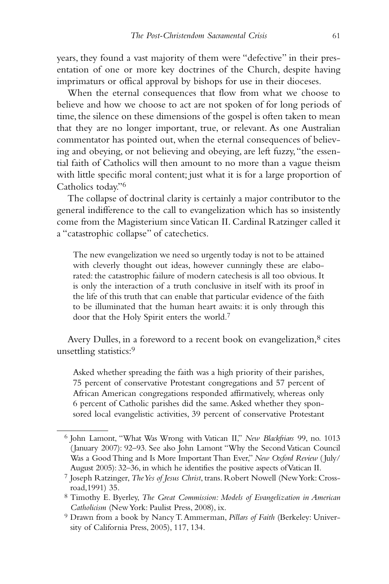years, they found a vast majority of them were "defective" in their presentation of one or more key doctrines of the Church, despite having imprimaturs or offical approval by bishops for use in their dioceses.

When the eternal consequences that flow from what we choose to believe and how we choose to act are not spoken of for long periods of time, the silence on these dimensions of the gospel is often taken to mean that they are no longer important, true, or relevant. As one Australian commentator has pointed out, when the eternal consequences of believing and obeying, or not believing and obeying, are left fuzzy, "the essential faith of Catholics will then amount to no more than a vague theism with little specific moral content; just what it is for a large proportion of Catholics today."6

The collapse of doctrinal clarity is certainly a major contributor to the general indifference to the call to evangelization which has so insistently come from the Magisterium since Vatican II. Cardinal Ratzinger called it a "catastrophic collapse" of catechetics.

The new evangelization we need so urgently today is not to be attained with cleverly thought out ideas, however cunningly these are elaborated: the catastrophic failure of modern catechesis is all too obvious. It is only the interaction of a truth conclusive in itself with its proof in the life of this truth that can enable that particular evidence of the faith to be illuminated that the human heart awaits: it is only through this door that the Holy Spirit enters the world.7

Avery Dulles, in a foreword to a recent book on evangelization,<sup>8</sup> cites unsettling statistics:<sup>9</sup>

Asked whether spreading the faith was a high priority of their parishes, 75 percent of conservative Protestant congregations and 57 percent of African American congregations responded affirmatively, whereas only 6 percent of Catholic parishes did the same. Asked whether they sponsored local evangelistic activities, 39 percent of conservative Protestant

<sup>6</sup> John Lamont, "What Was Wrong with Vatican II," *New Blackfriars* 99, no. 1013 (January 2007): 92–93. See also John Lamont "Why the Second Vatican Council Was a Good Thing and Is More Important Than Ever," *New Oxford Review* ( July/ August 2005): 32–36, in which he identifies the positive aspects of Vatican II.

<sup>7</sup> Joseph Ratzinger, *The Yes of Jesus Christ*, trans. Robert Nowell (New York: Crossroad,1991) 35.

<sup>8</sup> Timothy E. Byerley, *The Great Commission: Models of Evangelization in American Catholicism* (New York: Paulist Press, 2008), ix.

<sup>9</sup> Drawn from a book by Nancy T. Ammerman, *Pillars of Faith* (Berkeley: University of California Press, 2005), 117, 134.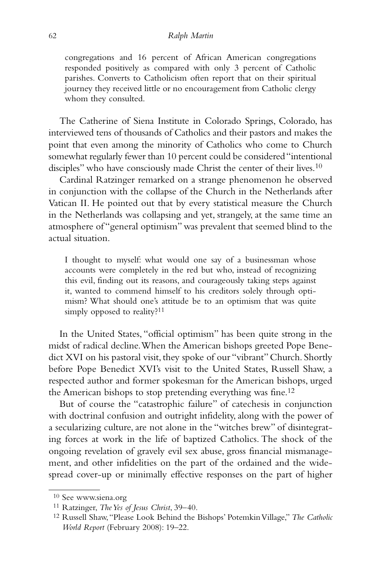congregations and 16 percent of African American congregations responded positively as compared with only 3 percent of Catholic parishes. Converts to Catholicism often report that on their spiritual journey they received little or no encouragement from Catholic clergy whom they consulted.

The Catherine of Siena Institute in Colorado Springs, Colorado, has interviewed tens of thousands of Catholics and their pastors and makes the point that even among the minority of Catholics who come to Church somewhat regularly fewer than 10 percent could be considered "intentional disciples" who have consciously made Christ the center of their lives.10

Cardinal Ratzinger remarked on a strange phenomenon he observed in conjunction with the collapse of the Church in the Netherlands after Vatican II. He pointed out that by every statistical measure the Church in the Netherlands was collapsing and yet, strangely, at the same time an atmosphere of "general optimism" was prevalent that seemed blind to the actual situation.

I thought to myself: what would one say of a businessman whose accounts were completely in the red but who, instead of recognizing this evil, finding out its reasons, and courageously taking steps against it, wanted to commend himself to his creditors solely through optimism? What should one's attitude be to an optimism that was quite simply opposed to reality?<sup>11</sup>

In the United States, "official optimism" has been quite strong in the midst of radical decline. When the American bishops greeted Pope Benedict XVI on his pastoral visit, they spoke of our "vibrant" Church. Shortly before Pope Benedict XVI's visit to the United States, Russell Shaw, a respected author and former spokesman for the American bishops, urged the American bishops to stop pretending everything was fine.12

But of course the "catastrophic failure" of catechesis in conjunction with doctrinal confusion and outright infidelity, along with the power of a secularizing culture, are not alone in the "witches brew" of disintegrating forces at work in the life of baptized Catholics. The shock of the ongoing revelation of gravely evil sex abuse, gross financial mismanagement, and other infidelities on the part of the ordained and the widespread cover-up or minimally effective responses on the part of higher

<sup>10</sup> See www.siena.org

<sup>11</sup> Ratzinger, *The Yes of Jesus Christ*, 39–40.

<sup>12</sup> Russell Shaw, "Please Look Behind the Bishops' Potemkin Village," *The Catholic World Report* (February 2008): 19–22.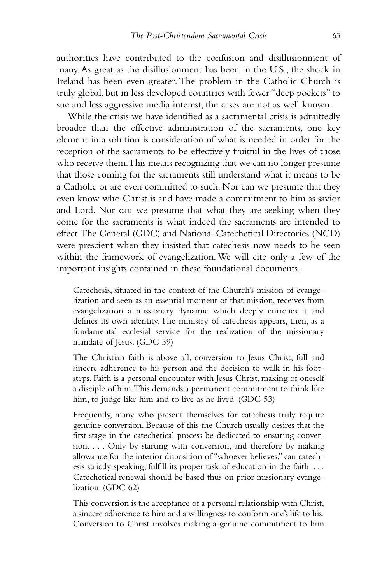authorities have contributed to the confusion and disillusionment of many. As great as the disillusionment has been in the U.S., the shock in Ireland has been even greater. The problem in the Catholic Church is truly global, but in less developed countries with fewer "deep pockets" to sue and less aggressive media interest, the cases are not as well known.

While the crisis we have identified as a sacramental crisis is admittedly broader than the effective administration of the sacraments, one key element in a solution is consideration of what is needed in order for the reception of the sacraments to be effectively fruitful in the lives of those who receive them. This means recognizing that we can no longer presume that those coming for the sacraments still understand what it means to be a Catholic or are even committed to such. Nor can we presume that they even know who Christ is and have made a commitment to him as savior and Lord. Nor can we presume that what they are seeking when they come for the sacraments is what indeed the sacraments are intended to effect. The General (GDC) and National Catechetical Directories (NCD) were prescient when they insisted that catechesis now needs to be seen within the framework of evangelization. We will cite only a few of the important insights contained in these foundational documents.

Catechesis, situated in the context of the Church's mission of evangelization and seen as an essential moment of that mission, receives from evangelization a missionary dynamic which deeply enriches it and defines its own identity. The ministry of catechesis appears, then, as a fundamental ecclesial service for the realization of the missionary mandate of Jesus. (GDC 59)

The Christian faith is above all, conversion to Jesus Christ, full and sincere adherence to his person and the decision to walk in his footsteps. Faith is a personal encounter with Jesus Christ, making of oneself a disciple of him. This demands a permanent commitment to think like him, to judge like him and to live as he lived. (GDC 53)

Frequently, many who present themselves for catechesis truly require genuine conversion. Because of this the Church usually desires that the first stage in the catechetical process be dedicated to ensuring conversion. . . . Only by starting with conversion, and therefore by making allowance for the interior disposition of "whoever believes," can catechesis strictly speaking, fulfill its proper task of education in the faith. . . . Catechetical renewal should be based thus on prior missionary evangelization. (GDC 62)

This conversion is the acceptance of a personal relationship with Christ, a sincere adherence to him and a willingness to conform one's life to his. Conversion to Christ involves making a genuine commitment to him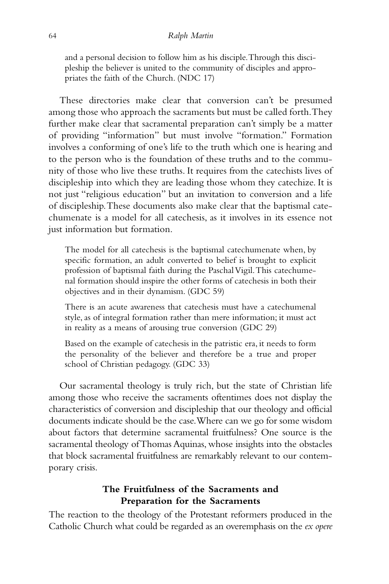and a personal decision to follow him as his disciple. Through this discipleship the believer is united to the community of disciples and appropriates the faith of the Church. (NDC 17)

These directories make clear that conversion can't be presumed among those who approach the sacraments but must be called forth. They further make clear that sacramental preparation can't simply be a matter of providing "information" but must involve "formation." Formation involves a conforming of one's life to the truth which one is hearing and to the person who is the foundation of these truths and to the community of those who live these truths. It requires from the catechists lives of discipleship into which they are leading those whom they catechize. It is not just "religious education" but an invitation to conversion and a life of discipleship. These documents also make clear that the baptismal catechumenate is a model for all catechesis, as it involves in its essence not just information but formation.

The model for all catechesis is the baptismal catechumenate when, by specific formation, an adult converted to belief is brought to explicit profession of baptismal faith during the Paschal Vigil. This catechumenal formation should inspire the other forms of catechesis in both their objectives and in their dynamism. (GDC 59)

There is an acute awareness that catechesis must have a catechumenal style, as of integral formation rather than mere information; it must act in reality as a means of arousing true conversion (GDC 29)

Based on the example of catechesis in the patristic era, it needs to form the personality of the believer and therefore be a true and proper school of Christian pedagogy. (GDC 33)

Our sacramental theology is truly rich, but the state of Christian life among those who receive the sacraments oftentimes does not display the characteristics of conversion and discipleship that our theology and official documents indicate should be the case. Where can we go for some wisdom about factors that determine sacramental fruitfulness? One source is the sacramental theology of Thomas Aquinas, whose insights into the obstacles that block sacramental fruitfulness are remarkably relevant to our contemporary crisis.

# **The Fruitfulness of the Sacraments and Preparation for the Sacraments**

The reaction to the theology of the Protestant reformers produced in the Catholic Church what could be regarded as an overemphasis on the *ex opere*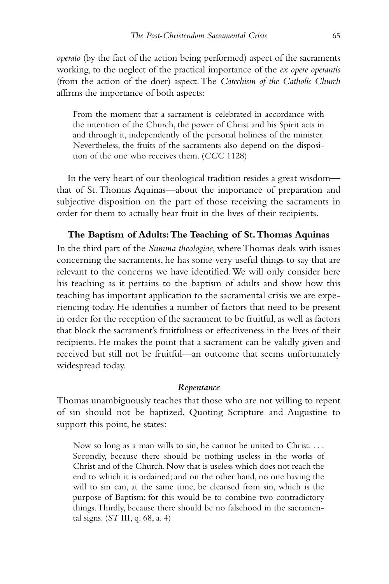*operato* (by the fact of the action being performed) aspect of the sacraments working, to the neglect of the practical importance of the *ex opere operantis* (from the action of the doer) aspect. The *Catechism of the Catholic Church* affirms the importance of both aspects:

From the moment that a sacrament is celebrated in accordance with the intention of the Church, the power of Christ and his Spirit acts in and through it, independently of the personal holiness of the minister. Nevertheless, the fruits of the sacraments also depend on the disposition of the one who receives them. (*CCC* 1128)

In the very heart of our theological tradition resides a great wisdom that of St. Thomas Aquinas—about the importance of preparation and subjective disposition on the part of those receiving the sacraments in order for them to actually bear fruit in the lives of their recipients.

# **The Baptism of Adults: The Teaching of St. Thomas Aquinas**

In the third part of the *Summa theologiae*, where Thomas deals with issues concerning the sacraments, he has some very useful things to say that are relevant to the concerns we have identified. We will only consider here his teaching as it pertains to the baptism of adults and show how this teaching has important application to the sacramental crisis we are experiencing today. He identifies a number of factors that need to be present in order for the reception of the sacrament to be fruitful, as well as factors that block the sacrament's fruitfulness or effectiveness in the lives of their recipients. He makes the point that a sacrament can be validly given and received but still not be fruitful—an outcome that seems unfortunately widespread today.

### *Repentance*

Thomas unambiguously teaches that those who are not willing to repent of sin should not be baptized. Quoting Scripture and Augustine to support this point, he states:

Now so long as a man wills to sin, he cannot be united to Christ. . . . Secondly, because there should be nothing useless in the works of Christ and of the Church. Now that is useless which does not reach the end to which it is ordained; and on the other hand, no one having the will to sin can, at the same time, be cleansed from sin, which is the purpose of Baptism; for this would be to combine two contradictory things. Thirdly, because there should be no falsehood in the sacramental signs. (*ST* III, q. 68, a. 4)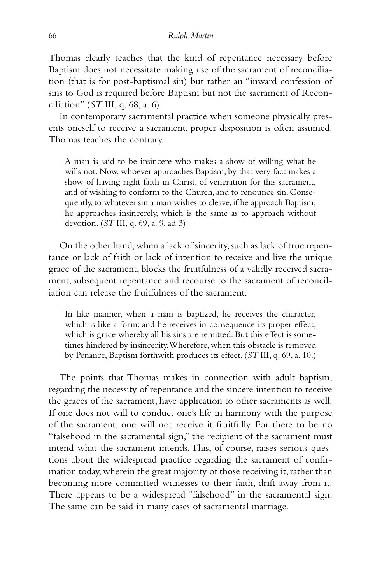Thomas clearly teaches that the kind of repentance necessary before Baptism does not necessitate making use of the sacrament of reconciliation (that is for post-baptismal sin) but rather an "inward confession of sins to God is required before Baptism but not the sacrament of Reconciliation" (*ST* III, q. 68, a. 6).

In contemporary sacramental practice when someone physically presents oneself to receive a sacrament, proper disposition is often assumed. Thomas teaches the contrary.

A man is said to be insincere who makes a show of willing what he wills not. Now, whoever approaches Baptism, by that very fact makes a show of having right faith in Christ, of veneration for this sacrament, and of wishing to conform to the Church, and to renounce sin. Consequently, to whatever sin a man wishes to cleave, if he approach Baptism, he approaches insincerely, which is the same as to approach without devotion. (*ST* III, q. 69, a. 9, ad 3)

On the other hand, when a lack of sincerity, such as lack of true repentance or lack of faith or lack of intention to receive and live the unique grace of the sacrament, blocks the fruitfulness of a validly received sacrament, subsequent repentance and recourse to the sacrament of reconciliation can release the fruitfulness of the sacrament.

In like manner, when a man is baptized, he receives the character, which is like a form: and he receives in consequence its proper effect, which is grace whereby all his sins are remitted. But this effect is sometimes hindered by insincerity. Wherefore, when this obstacle is removed by Penance, Baptism forthwith produces its effect. (*ST* III, q. 69, a. 10.)

The points that Thomas makes in connection with adult baptism, regarding the necessity of repentance and the sincere intention to receive the graces of the sacrament, have application to other sacraments as well. If one does not will to conduct one's life in harmony with the purpose of the sacrament, one will not receive it fruitfully. For there to be no "falsehood in the sacramental sign," the recipient of the sacrament must intend what the sacrament intends. This, of course, raises serious questions about the widespread practice regarding the sacrament of confirmation today, wherein the great majority of those receiving it, rather than becoming more committed witnesses to their faith, drift away from it. There appears to be a widespread "falsehood" in the sacramental sign. The same can be said in many cases of sacramental marriage.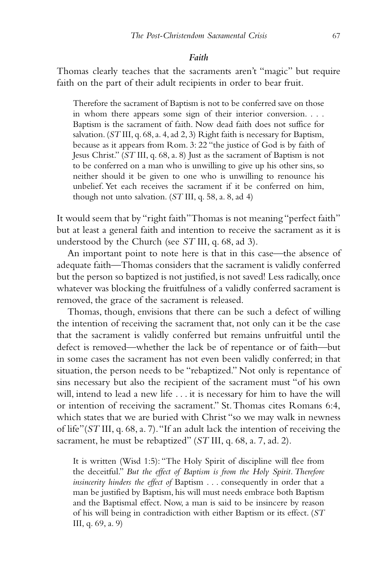#### *Faith*

Thomas clearly teaches that the sacraments aren't "magic" but require faith on the part of their adult recipients in order to bear fruit.

Therefore the sacrament of Baptism is not to be conferred save on those in whom there appears some sign of their interior conversion. . . . Baptism is the sacrament of faith. Now dead faith does not suffice for salvation. (*ST* III, q. 68, a. 4, ad 2, 3) Right faith is necessary for Baptism, because as it appears from Rom. 3: 22 "the justice of God is by faith of Jesus Christ." (*ST* III, q. 68, a. 8) Just as the sacrament of Baptism is not to be conferred on a man who is unwilling to give up his other sins, so neither should it be given to one who is unwilling to renounce his unbelief. Yet each receives the sacrament if it be conferred on him, though not unto salvation. (*ST* III, q. 58, a. 8, ad 4)

It would seem that by "right faith" Thomas is not meaning "perfect faith" but at least a general faith and intention to receive the sacrament as it is understood by the Church (see *ST* III, q. 68, ad 3).

An important point to note here is that in this case—the absence of adequate faith—Thomas considers that the sacrament is validly conferred but the person so baptized is not justified, is not saved! Less radically, once whatever was blocking the fruitfulness of a validly conferred sacrament is removed, the grace of the sacrament is released.

Thomas, though, envisions that there can be such a defect of willing the intention of receiving the sacrament that, not only can it be the case that the sacrament is validly conferred but remains unfruitful until the defect is removed—whether the lack be of repentance or of faith—but in some cases the sacrament has not even been validly conferred; in that situation, the person needs to be "rebaptized." Not only is repentance of sins necessary but also the recipient of the sacrament must "of his own will, intend to lead a new life . . . it is necessary for him to have the will or intention of receiving the sacrament." St. Thomas cites Romans 6:4, which states that we are buried with Christ "so we may walk in newness of life"(*ST* III, q. 68, a. 7). "If an adult lack the intention of receiving the sacrament, he must be rebaptized" (*ST* III, q. 68, a. 7, ad. 2).

It is written (Wisd 1:5): "The Holy Spirit of discipline will flee from the deceitful." *But the effect of Baptism is from the Holy Spirit. Therefore insincerity hinders the effect of* Baptism . . . consequently in order that a man be justified by Baptism, his will must needs embrace both Baptism and the Baptismal effect. Now, a man is said to be insincere by reason of his will being in contradiction with either Baptism or its effect. (*ST* III, q. 69, a. 9)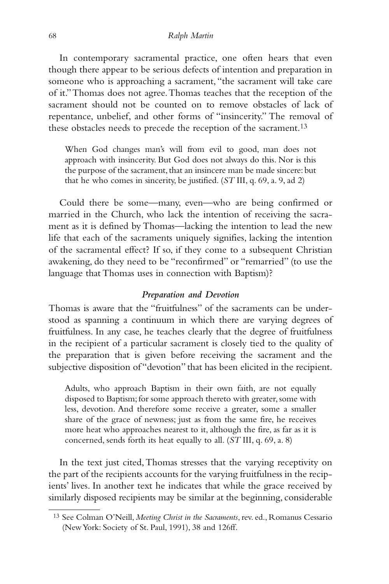#### 68 *Ralph Martin*

In contemporary sacramental practice, one often hears that even though there appear to be serious defects of intention and preparation in someone who is approaching a sacrament, "the sacrament will take care of it." Thomas does not agree. Thomas teaches that the reception of the sacrament should not be counted on to remove obstacles of lack of repentance, unbelief, and other forms of "insincerity." The removal of these obstacles needs to precede the reception of the sacrament.<sup>13</sup>

When God changes man's will from evil to good, man does not approach with insincerity. But God does not always do this. Nor is this the purpose of the sacrament, that an insincere man be made sincere: but that he who comes in sincerity, be justified. (*ST* III, q. 69, a. 9, ad 2)

Could there be some—many, even—who are being confirmed or married in the Church, who lack the intention of receiving the sacrament as it is defined by Thomas—lacking the intention to lead the new life that each of the sacraments uniquely signifies, lacking the intention of the sacramental effect? If so, if they come to a subsequent Christian awakening, do they need to be "reconfirmed" or "remarried" (to use the language that Thomas uses in connection with Baptism)?

## *Preparation and Devotion*

Thomas is aware that the "fruitfulness" of the sacraments can be understood as spanning a continuum in which there are varying degrees of fruitfulness. In any case, he teaches clearly that the degree of fruitfulness in the recipient of a particular sacrament is closely tied to the quality of the preparation that is given before receiving the sacrament and the subjective disposition of "devotion" that has been elicited in the recipient.

Adults, who approach Baptism in their own faith, are not equally disposed to Baptism; for some approach thereto with greater, some with less, devotion. And therefore some receive a greater, some a smaller share of the grace of newness; just as from the same fire, he receives more heat who approaches nearest to it, although the fire, as far as it is concerned, sends forth its heat equally to all. (*ST* III, q. 69, a. 8)

In the text just cited, Thomas stresses that the varying receptivity on the part of the recipients accounts for the varying fruitfulness in the recipients' lives. In another text he indicates that while the grace received by similarly disposed recipients may be similar at the beginning, considerable

<sup>13</sup> See Colman O'Neill, *Meeting Christ in the Sacraments*, rev. ed., Romanus Cessario (New York: Society of St. Paul, 1991), 38 and 126ff.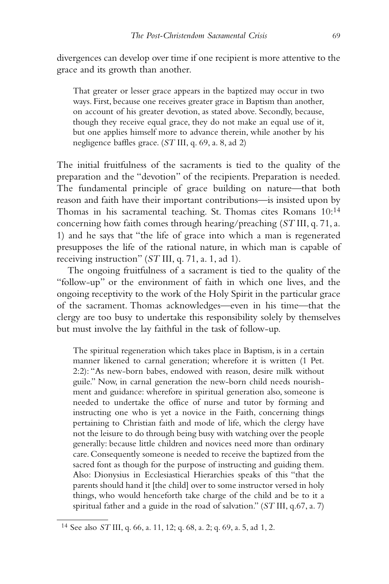divergences can develop over time if one recipient is more attentive to the grace and its growth than another.

That greater or lesser grace appears in the baptized may occur in two ways. First, because one receives greater grace in Baptism than another, on account of his greater devotion, as stated above. Secondly, because, though they receive equal grace, they do not make an equal use of it, but one applies himself more to advance therein, while another by his negligence baffles grace. (*ST* III, q. 69, a. 8, ad 2)

The initial fruitfulness of the sacraments is tied to the quality of the preparation and the "devotion" of the recipients. Preparation is needed. The fundamental principle of grace building on nature—that both reason and faith have their important contributions—is insisted upon by Thomas in his sacramental teaching. St. Thomas cites Romans 10:14 concerning how faith comes through hearing/preaching (*ST* III, q. 71, a. 1) and he says that "the life of grace into which a man is regenerated presupposes the life of the rational nature, in which man is capable of receiving instruction" (*ST* III, q. 71, a. 1, ad 1).

The ongoing fruitfulness of a sacrament is tied to the quality of the "follow-up" or the environment of faith in which one lives, and the ongoing receptivity to the work of the Holy Spirit in the particular grace of the sacrament. Thomas acknowledges—even in his time—that the clergy are too busy to undertake this responsibility solely by themselves but must involve the lay faithful in the task of follow-up.

The spiritual regeneration which takes place in Baptism, is in a certain manner likened to carnal generation; wherefore it is written (1 Pet. 2:2): "As new-born babes, endowed with reason, desire milk without guile." Now, in carnal generation the new-born child needs nourishment and guidance: wherefore in spiritual generation also, someone is needed to undertake the office of nurse and tutor by forming and instructing one who is yet a novice in the Faith, concerning things pertaining to Christian faith and mode of life, which the clergy have not the leisure to do through being busy with watching over the people generally: because little children and novices need more than ordinary care. Consequently someone is needed to receive the baptized from the sacred font as though for the purpose of instructing and guiding them. Also: Dionysius in Ecclesiastical Hierarchies speaks of this "that the parents should hand it [the child] over to some instructor versed in holy things, who would henceforth take charge of the child and be to it a spiritual father and a guide in the road of salvation." (*ST* III, q.67, a. 7)

<sup>14</sup> See also *ST* III, q. 66, a. 11, 12; q. 68, a. 2; q. 69, a. 5, ad 1, 2.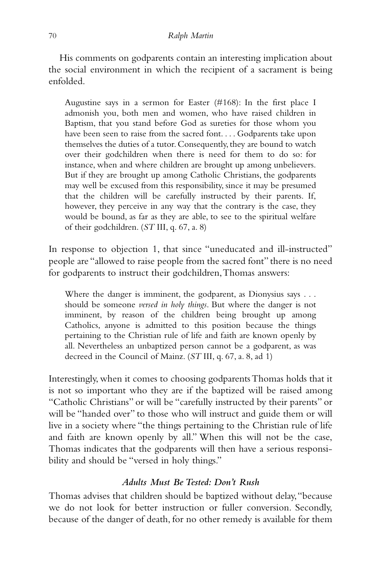#### 70 *Ralph Martin*

His comments on godparents contain an interesting implication about the social environment in which the recipient of a sacrament is being enfolded.

Augustine says in a sermon for Easter (#168): In the first place I admonish you, both men and women, who have raised children in Baptism, that you stand before God as sureties for those whom you have been seen to raise from the sacred font. . . . Godparents take upon themselves the duties of a tutor. Consequently, they are bound to watch over their godchildren when there is need for them to do so: for instance, when and where children are brought up among unbelievers. But if they are brought up among Catholic Christians, the godparents may well be excused from this responsibility, since it may be presumed that the children will be carefully instructed by their parents. If, however, they perceive in any way that the contrary is the case, they would be bound, as far as they are able, to see to the spiritual welfare of their godchildren. (*ST* III, q. 67, a. 8)

In response to objection 1, that since "uneducated and ill-instructed" people are "allowed to raise people from the sacred font" there is no need for godparents to instruct their godchildren, Thomas answers:

Where the danger is imminent, the godparent, as Dionysius says . . . should be someone *versed in holy things*. But where the danger is not imminent, by reason of the children being brought up among Catholics, anyone is admitted to this position because the things pertaining to the Christian rule of life and faith are known openly by all. Nevertheless an unbaptized person cannot be a godparent, as was decreed in the Council of Mainz. (*ST* III, q. 67, a. 8, ad 1)

Interestingly, when it comes to choosing godparents Thomas holds that it is not so important who they are if the baptized will be raised among "Catholic Christians" or will be "carefully instructed by their parents" or will be "handed over" to those who will instruct and guide them or will live in a society where "the things pertaining to the Christian rule of life and faith are known openly by all." When this will not be the case, Thomas indicates that the godparents will then have a serious responsibility and should be "versed in holy things."

# *Adults Must Be Tested: Don't Rush*

Thomas advises that children should be baptized without delay, "because we do not look for better instruction or fuller conversion. Secondly, because of the danger of death, for no other remedy is available for them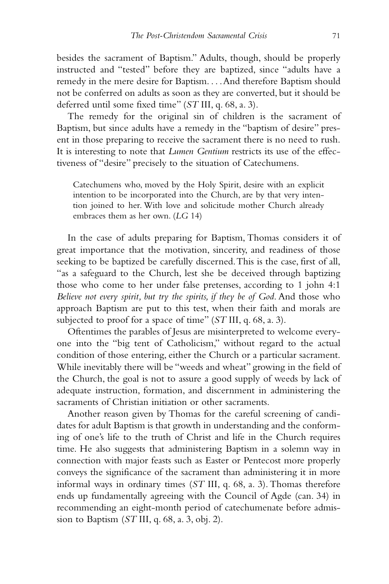besides the sacrament of Baptism." Adults, though, should be properly instructed and "tested" before they are baptized, since "adults have a remedy in the mere desire for Baptism. . . . And therefore Baptism should not be conferred on adults as soon as they are converted, but it should be deferred until some fixed time" (*ST* III, q. 68, a. 3).

The remedy for the original sin of children is the sacrament of Baptism, but since adults have a remedy in the "baptism of desire" present in those preparing to receive the sacrament there is no need to rush. It is interesting to note that *Lumen Gentium* restricts its use of the effectiveness of "desire" precisely to the situation of Catechumens.

Catechumens who, moved by the Holy Spirit, desire with an explicit intention to be incorporated into the Church, are by that very intention joined to her. With love and solicitude mother Church already embraces them as her own. (*LG* 14)

In the case of adults preparing for Baptism, Thomas considers it of great importance that the motivation, sincerity, and readiness of those seeking to be baptized be carefully discerned. This is the case, first of all, "as a safeguard to the Church, lest she be deceived through baptizing those who come to her under false pretenses, according to 1 john 4:1 *Believe not every spirit, but try the spirits, if they be of God*. And those who approach Baptism are put to this test, when their faith and morals are subjected to proof for a space of time" (*ST* III, q. 68, a. 3).

Oftentimes the parables of Jesus are misinterpreted to welcome everyone into the "big tent of Catholicism," without regard to the actual condition of those entering, either the Church or a particular sacrament. While inevitably there will be "weeds and wheat" growing in the field of the Church, the goal is not to assure a good supply of weeds by lack of adequate instruction, formation, and discernment in administering the sacraments of Christian initiation or other sacraments.

Another reason given by Thomas for the careful screening of candidates for adult Baptism is that growth in understanding and the conforming of one's life to the truth of Christ and life in the Church requires time. He also suggests that administering Baptism in a solemn way in connection with major feasts such as Easter or Pentecost more properly conveys the significance of the sacrament than administering it in more informal ways in ordinary times (*ST* III, q. 68, a. 3). Thomas therefore ends up fundamentally agreeing with the Council of Agde (can. 34) in recommending an eight-month period of catechumenate before admission to Baptism (*ST* III, q. 68, a. 3, obj. 2).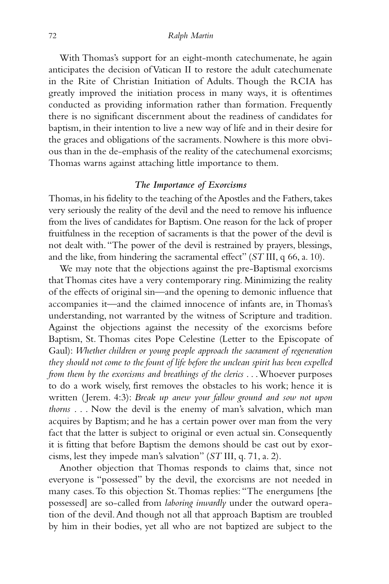With Thomas's support for an eight-month catechumenate, he again anticipates the decision of Vatican II to restore the adult catechumenate in the Rite of Christian Initiation of Adults. Though the RCIA has greatly improved the initiation process in many ways, it is oftentimes conducted as providing information rather than formation. Frequently there is no significant discernment about the readiness of candidates for baptism, in their intention to live a new way of life and in their desire for the graces and obligations of the sacraments. Nowhere is this more obvious than in the de-emphasis of the reality of the catechumenal exorcisms; Thomas warns against attaching little importance to them.

# *The Importance of Exorcisms*

Thomas, in his fidelity to the teaching of the Apostles and the Fathers, takes very seriously the reality of the devil and the need to remove his influence from the lives of candidates for Baptism. One reason for the lack of proper fruitfulness in the reception of sacraments is that the power of the devil is not dealt with. "The power of the devil is restrained by prayers, blessings, and the like, from hindering the sacramental effect" (*ST* III, q 66, a. 10).

We may note that the objections against the pre-Baptismal exorcisms that Thomas cites have a very contemporary ring. Minimizing the reality of the effects of original sin—and the opening to demonic influence that accompanies it—and the claimed innocence of infants are, in Thomas's understanding, not warranted by the witness of Scripture and tradition. Against the objections against the necessity of the exorcisms before Baptism, St. Thomas cites Pope Celestine (Letter to the Episcopate of Gaul): *Whether children or young people approach the sacrament of regeneration they should not come to the fount of life before the unclean spirit has been expelled from them by the exorcisms and breathings of the clerics* . . . Whoever purposes to do a work wisely, first removes the obstacles to his work; hence it is written ( Jerem. 4:3): *Break up anew your fallow ground and sow not upon thorns* . . . Now the devil is the enemy of man's salvation, which man acquires by Baptism; and he has a certain power over man from the very fact that the latter is subject to original or even actual sin. Consequently it is fitting that before Baptism the demons should be cast out by exorcisms, lest they impede man's salvation" (*ST* III, q. 71, a. 2).

Another objection that Thomas responds to claims that, since not everyone is "possessed" by the devil, the exorcisms are not needed in many cases. To this objection St. Thomas replies: "The energumens [the possessed] are so-called from *laboring inwardly* under the outward operation of the devil. And though not all that approach Baptism are troubled by him in their bodies, yet all who are not baptized are subject to the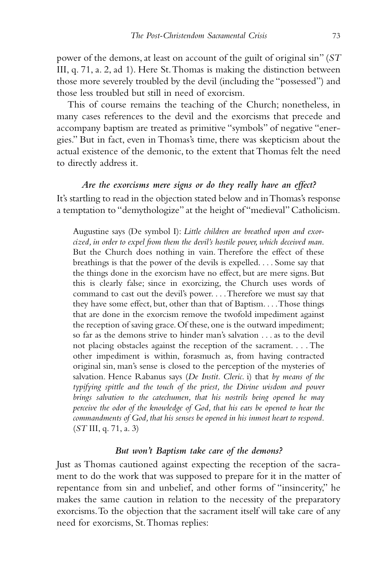power of the demons, at least on account of the guilt of original sin" (*ST* III, q. 71, a. 2, ad 1). Here St. Thomas is making the distinction between those more severely troubled by the devil (including the "possessed") and those less troubled but still in need of exorcism.

This of course remains the teaching of the Church; nonetheless, in many cases references to the devil and the exorcisms that precede and accompany baptism are treated as primitive "symbols" of negative "energies." But in fact, even in Thomas's time, there was skepticism about the actual existence of the demonic, to the extent that Thomas felt the need to directly address it.

*Are the exorcisms mere signs or do they really have an effect?* It's startling to read in the objection stated below and in Thomas's response a temptation to "demythologize" at the height of "medieval" Catholicism.

Augustine says (De symbol I): *Little children are breathed upon and exorcized, in order to expel from them the devil's hostile power, which deceived man*. But the Church does nothing in vain. Therefore the effect of these breathings is that the power of the devils is expelled. . . . Some say that the things done in the exorcism have no effect, but are mere signs. But this is clearly false; since in exorcizing, the Church uses words of command to cast out the devil's power. . . . Therefore we must say that they have some effect, but, other than that of Baptism. . . . Those things that are done in the exorcism remove the twofold impediment against the reception of saving grace. Of these, one is the outward impediment; so far as the demons strive to hinder man's salvation . . . as to the devil not placing obstacles against the reception of the sacrament. . . . The other impediment is within, forasmuch as, from having contracted original sin, man's sense is closed to the perception of the mysteries of salvation. Hence Rabanus says (*De Instit. Cleric*. i) that *by means of the typifying spittle and the touch of the priest, the Divine wisdom and power brings salvation to the catechumen, that his nostrils being opened he may perceive the odor of the knowledge of God, that his ears be opened to hear the commandments of God, that his senses be opened in his inmost heart to respond*. (*ST* III, q. 71, a. 3)

# *But won't Baptism take care of the demons?*

Just as Thomas cautioned against expecting the reception of the sacrament to do the work that was supposed to prepare for it in the matter of repentance from sin and unbelief, and other forms of "insincerity," he makes the same caution in relation to the necessity of the preparatory exorcisms. To the objection that the sacrament itself will take care of any need for exorcisms, St. Thomas replies: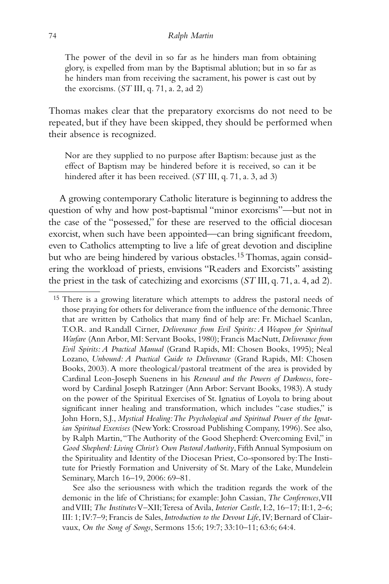The power of the devil in so far as he hinders man from obtaining glory, is expelled from man by the Baptismal ablution; but in so far as he hinders man from receiving the sacrament, his power is cast out by the exorcisms. (*ST* III, q. 71, a. 2, ad 2)

Thomas makes clear that the preparatory exorcisms do not need to be repeated, but if they have been skipped, they should be performed when their absence is recognized.

Nor are they supplied to no purpose after Baptism: because just as the effect of Baptism may be hindered before it is received, so can it be hindered after it has been received. (*ST* III, q. 71, a. 3, ad 3)

A growing contemporary Catholic literature is beginning to address the question of why and how post-baptismal "minor exorcisms"—but not in the case of the "possessed," for these are reserved to the official diocesan exorcist, when such have been appointed—can bring significant freedom, even to Catholics attempting to live a life of great devotion and discipline but who are being hindered by various obstacles.<sup>15</sup> Thomas, again considering the workload of priests, envisions "Readers and Exorcists" assisting the priest in the task of catechizing and exorcisms (*ST* III, q. 71, a. 4, ad 2).

<sup>15</sup> There is a growing literature which attempts to address the pastoral needs of those praying for others for deliverance from the influence of the demonic. Three that are written by Catholics that many find of help are: Fr. Michael Scanlan, T.O.R. and Randall Cirner, *Deliverance from Evil Spirits: A Weapon for Spiritual Warfare* (Ann Arbor, MI: Servant Books, 1980); Francis MacNutt, *Deliverance from Evil Spirits: A Practical Manual* (Grand Rapids, MI: Chosen Books, 1995); Neal Lozano, *Unbound: A Practical Guide to Deliverance* (Grand Rapids, MI: Chosen Books, 2003). A more theological/pastoral treatment of the area is provided by Cardinal Leon-Joseph Suenens in his *Renewal and the Powers of Darkness*, foreword by Cardinal Joseph Ratzinger (Ann Arbor: Servant Books, 1983). A study on the power of the Spiritual Exercises of St. Ignatius of Loyola to bring about significant inner healing and transformation, which includes "case studies," is John Horn, S.J., *Mystical Healing: The Psychological and Spiritual Power of the Ignatian Spiritual Exercises* (New York: Crossroad Publishing Company, 1996). See also, by Ralph Martin, "The Authority of the Good Shepherd: Overcoming Evil," in *Good Shepherd: Living Christ's Own Pastoral Authority*, Fifth Annual Symposium on the Spirituality and Identity of the Diocesan Priest, Co-sponsored by: The Institute for Priestly Formation and University of St. Mary of the Lake, Mundelein Seminary, March 16–19, 2006: 69–81.

See also the seriousness with which the tradition regards the work of the demonic in the life of Christians; for example: John Cassian, *The Conferences*, VII and VIII; *The Institutes*V–XII; Teresa of Avila, *Interior Castle*, I:2, 16–17; II:1, 2–6; III: 1; IV:7–9; Francis de Sales, *Introduction to the Devout Life*, IV; Bernard of Clairvaux, *On the Song of Songs*, Sermons 15:6; 19:7; 33:10–11; 63:6; 64:4.